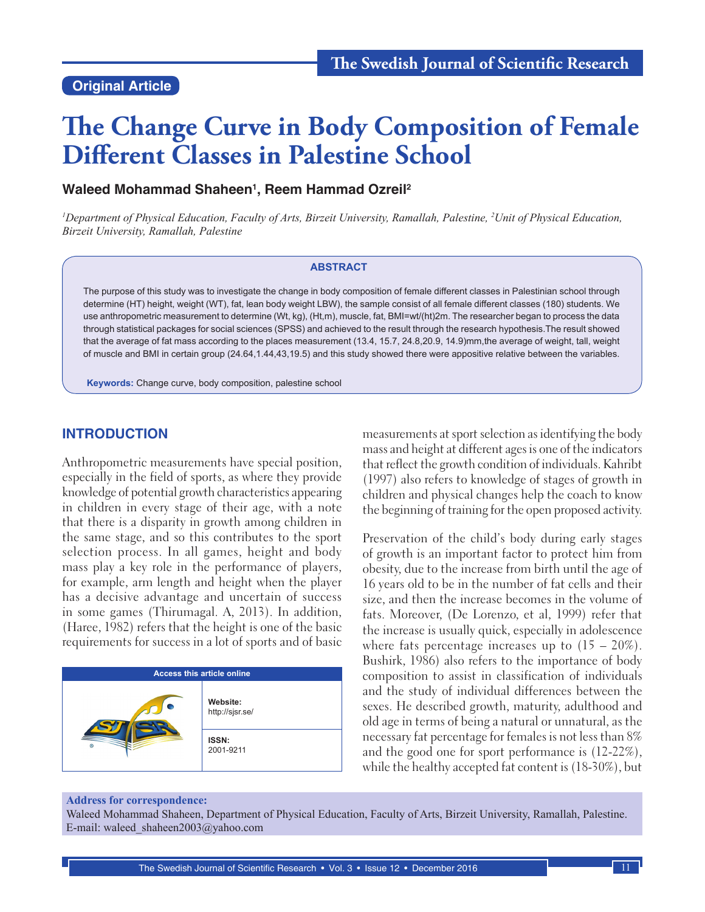#### **Original Article**

# **The Change Curve in Body Composition of Female Different Classes in Palestine School**

#### **Waleed Mohammad Shaheen1 , Reem Hammad Ozreil2**

<sup>1</sup>Department of Physical Education, Faculty of Arts, Birzeit University, Ramallah, Palestine, <sup>2</sup>Unit of Physical Education, *Birzeit University, Ramallah, Palestine*

#### **ABSTRACT**

The purpose of this study was to investigate the change in body composition of female different classes in Palestinian school through determine (HT) height, weight (WT), fat, lean body weight LBW), the sample consist of all female different classes (180) students. We use anthropometric measurement to determine (Wt, kg), (Ht,m), muscle, fat, BMI=wt/(ht)2m. The researcher began to process the data through statistical packages for social sciences (SPSS) and achieved to the result through the research hypothesis.The result showed that the average of fat mass according to the places measurement (13.4, 15.7, 24.8,20.9, 14.9)mm,the average of weight, tall, weight of muscle and BMI in certain group (24.64,1.44,43,19.5) and this study showed there were appositive relative between the variables.

**Keywords:** Change curve, body composition, palestine school

#### **INTRODUCTION**

Anthropometric measurements have special position, especially in the field of sports, as where they provide knowledge of potential growth characteristics appearing in children in every stage of their age, with a note that there is a disparity in growth among children in the same stage, and so this contributes to the sport selection process. In all games, height and body mass play a key role in the performance of players, for example, arm length and height when the player has a decisive advantage and uncertain of success in some games (Thirumagal. A, 2013). In addition, (Haree, 1982) refers that the height is one of the basic requirements for success in a lot of sports and of basic



measurements at sport selection as identifying the body mass and height at different ages is one of the indicators that reflect the growth condition of individuals. Kahribt (1997) also refers to knowledge of stages of growth in children and physical changes help the coach to know the beginning of training for the open proposed activity.

Preservation of the child's body during early stages of growth is an important factor to protect him from obesity, due to the increase from birth until the age of 16 years old to be in the number of fat cells and their size, and then the increase becomes in the volume of fats. Moreover, (De Lorenzo, et al, 1999) refer that the increase is usually quick, especially in adolescence where fats percentage increases up to  $(15 - 20\%)$ . Bushirk, 1986) also refers to the importance of body composition to assist in classification of individuals and the study of individual differences between the sexes. He described growth, maturity, adulthood and old age in terms of being a natural or unnatural, as the necessary fat percentage for females is not less than 8% and the good one for sport performance is (12-22%), while the healthy accepted fat content is (18-30%), but

#### **Address for correspondence:**

Waleed Mohammad Shaheen, Department of Physical Education, Faculty of Arts, Birzeit University, Ramallah, Palestine. E-mail: waleed\_shaheen2003@yahoo.com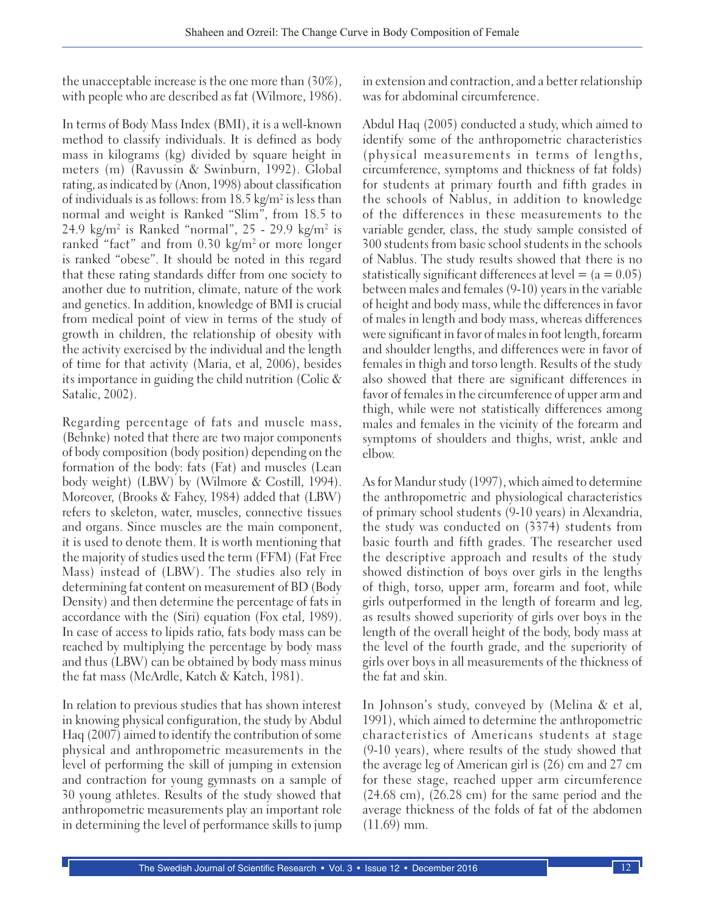the unacceptable increase is the one more than (30%), with people who are described as fat (Wilmore, 1986).

In terms of Body Mass Index (BMI), it is a well-known method to classify individuals. It is defined as body mass in kilograms (kg) divided by square height in meters (m) (Ravussin & Swinburn, 1992). Global rating, as indicated by (Anon, 1998) about classification of individuals is as follows: from  $18.5 \text{ kg/m}^2$  is less than normal and weight is Ranked "Slim", from 18.5 to 24.9 kg/m<sup>2</sup> is Ranked "normal", 25 - 29.9 kg/m<sup>2</sup> is ranked "fact" and from  $0.30 \text{ kg/m}^2$  or more longer is ranked "obese". It should be noted in this regard that these rating standards differ from one society to another due to nutrition, climate, nature of the work and genetics. In addition, knowledge of BMI is crucial from medical point of view in terms of the study of growth in children, the relationship of obesity with the activity exercised by the individual and the length of time for that activity (Maria, et al, 2006), besides its importance in guiding the child nutrition (Colic & Satalic, 2002).

Regarding percentage of fats and muscle mass, (Behnke) noted that there are two major components of body composition (body position) depending on the formation of the body: fats (Fat) and muscles (Lean body weight) (LBW) by (Wilmore & Costill, 1994). Moreover, (Brooks & Fahey, 1984) added that (LBW) refers to skeleton, water, muscles, connective tissues and organs. Since muscles are the main component, it is used to denote them. It is worth mentioning that the majority of studies used the term (FFM) (Fat Free Mass) instead of (LBW). The studies also rely in determining fat content on measurement of BD (Body Density) and then determine the percentage of fats in accordance with the (Siri) equation (Fox etal, 1989). In case of access to lipids ratio, fats body mass can be reached by multiplying the percentage by body mass and thus (LBW) can be obtained by body mass minus the fat mass (McArdle, Katch & Katch, 1981).

In relation to previous studies that has shown interest in knowing physical configuration, the study by Abdul Haq (2007) aimed to identify the contribution of some physical and anthropometric measurements in the level of performing the skill of jumping in extension and contraction for young gymnasts on a sample of 30 young athletes. Results of the study showed that anthropometric measurements play an important role in determining the level of performance skills to jump

in extension and contraction, and a better relationship was for abdominal circumference.

Abdul Haq (2005) conducted a study, which aimed to identify some of the anthropometric characteristics (physical measurements in terms of lengths, circumference, symptoms and thickness of fat folds) for students at primary fourth and fifth grades in the schools of Nablus, in addition to knowledge of the differences in these measurements to the variable gender, class, the study sample consisted of 300 students from basic school students in the schools of Nablus. The study results showed that there is no statistically significant differences at level  $= (a = 0.05)$ between males and females (9-10) years in the variable of height and body mass, while the differences in favor of males in length and body mass, whereas differences were significant in favor of males in foot length, forearm and shoulder lengths, and differences were in favor of females in thigh and torso length. Results of the study also showed that there are significant differences in favor of females in the circumference of upper arm and thigh, while were not statistically differences among males and females in the vicinity of the forearm and symptoms of shoulders and thighs, wrist, ankle and elbow.

As for Mandur study (1997), which aimed to determine the anthropometric and physiological characteristics of primary school students (9-10 years) in Alexandria, the study was conducted on (3374) students from basic fourth and fifth grades. The researcher used the descriptive approach and results of the study showed distinction of boys over girls in the lengths of thigh, torso, upper arm, forearm and foot, while girls outperformed in the length of forearm and leg, as results showed superiority of girls over boys in the length of the overall height of the body, body mass at the level of the fourth grade, and the superiority of girls over boys in all measurements of the thickness of the fat and skin.

In Johnson's study, conveyed by (Melina & et al, 1991), which aimed to determine the anthropometric characteristics of Americans students at stage (9-10 years), where results of the study showed that the average leg of American girl is (26) cm and 27 cm for these stage, reached upper arm circumference (24.68 cm), (26.28 cm) for the same period and the average thickness of the folds of fat of the abdomen (11.69) mm.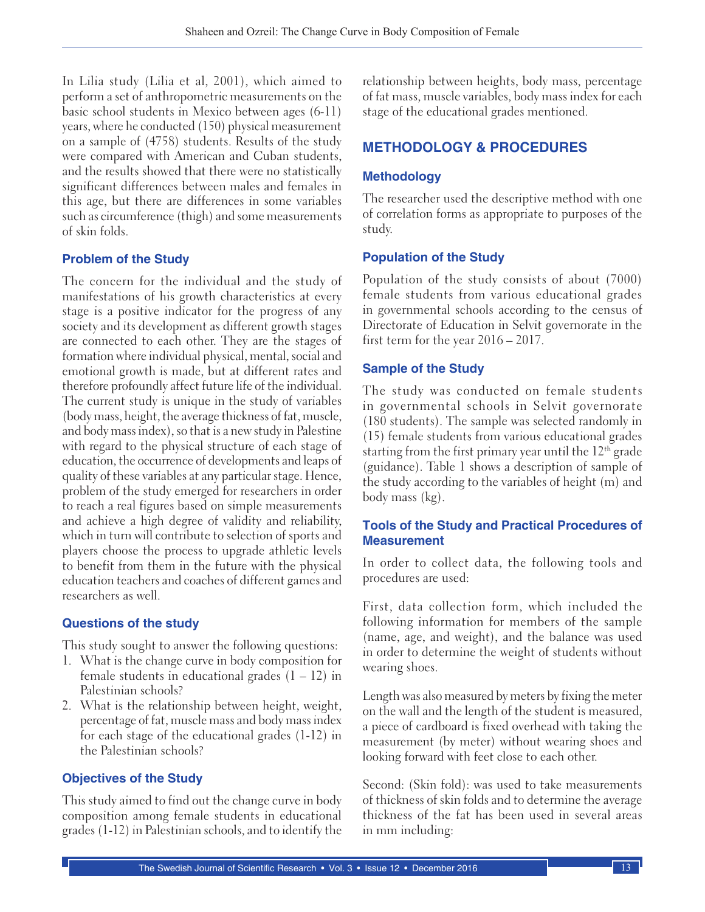In Lilia study (Lilia et al, 2001), which aimed to perform a set of anthropometric measurements on the basic school students in Mexico between ages (6-11) years, where he conducted (150) physical measurement on a sample of (4758) students. Results of the study were compared with American and Cuban students, and the results showed that there were no statistically significant differences between males and females in this age, but there are differences in some variables such as circumference (thigh) and some measurements of skin folds.

# **Problem of the Study**

The concern for the individual and the study of manifestations of his growth characteristics at every stage is a positive indicator for the progress of any society and its development as different growth stages are connected to each other. They are the stages of formation where individual physical, mental, social and emotional growth is made, but at different rates and therefore profoundly affect future life of the individual. The current study is unique in the study of variables (body mass, height, the average thickness of fat, muscle, and body mass index), so that is a new study in Palestine with regard to the physical structure of each stage of education, the occurrence of developments and leaps of quality of these variables at any particular stage. Hence, problem of the study emerged for researchers in order to reach a real figures based on simple measurements and achieve a high degree of validity and reliability, which in turn will contribute to selection of sports and players choose the process to upgrade athletic levels to benefit from them in the future with the physical education teachers and coaches of different games and researchers as well.

# **Questions of the study**

This study sought to answer the following questions:

- 1. What is the change curve in body composition for female students in educational grades  $(1 - 12)$  in Palestinian schools?
- 2. What is the relationship between height, weight, percentage of fat, muscle mass and body mass index for each stage of the educational grades (1-12) in the Palestinian schools?

# **Objectives of the Study**

This study aimed to find out the change curve in body composition among female students in educational grades (1-12) in Palestinian schools, and to identify the relationship between heights, body mass, percentage of fat mass, muscle variables, body mass index for each stage of the educational grades mentioned.

# **METHODOLOGY & PROCEDURES**

#### **Methodology**

The researcher used the descriptive method with one of correlation forms as appropriate to purposes of the study.

# **Population of the Study**

Population of the study consists of about (7000) female students from various educational grades in governmental schools according to the census of Directorate of Education in Selvit governorate in the first term for the year 2016 – 2017.

#### **Sample of the Study**

The study was conducted on female students in governmental schools in Selvit governorate (180 students). The sample was selected randomly in (15) female students from various educational grades starting from the first primary year until the  $12<sup>th</sup>$  grade (guidance). Table 1 shows a description of sample of the study according to the variables of height (m) and body mass (kg).

#### **Tools of the Study and Practical Procedures of Measurement**

In order to collect data, the following tools and procedures are used:

First, data collection form, which included the following information for members of the sample (name, age, and weight), and the balance was used in order to determine the weight of students without wearing shoes.

Length was also measured by meters by fixing the meter on the wall and the length of the student is measured, a piece of cardboard is fixed overhead with taking the measurement (by meter) without wearing shoes and looking forward with feet close to each other.

Second: (Skin fold): was used to take measurements of thickness of skin folds and to determine the average thickness of the fat has been used in several areas in mm including: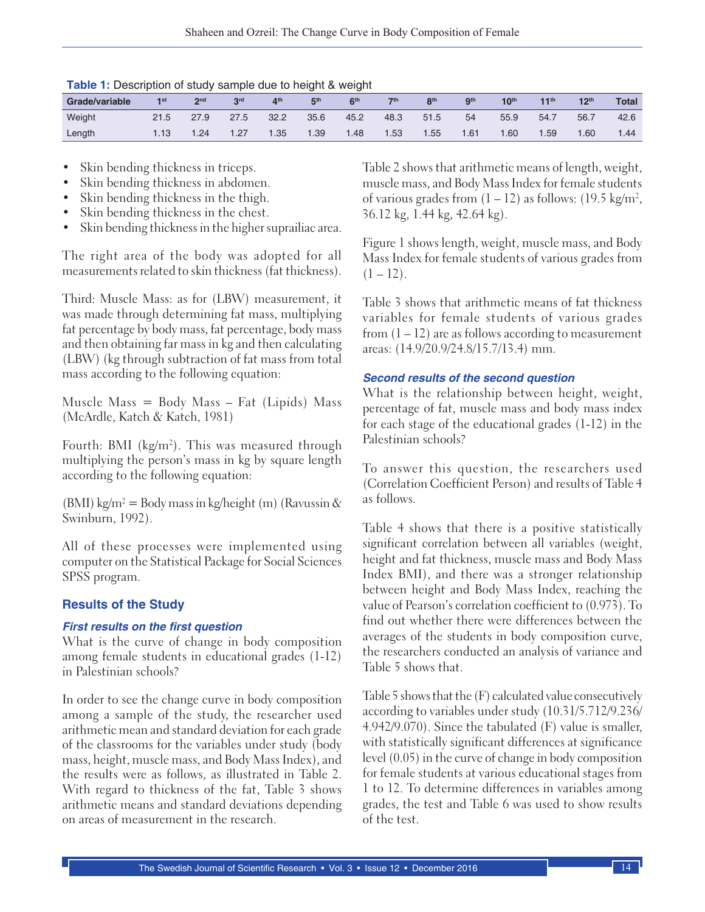| Grade/variable | 1st  | 2 <sub>nd</sub> | 3 <sup>rd</sup> | 4 <sup>th</sup> | 5 <sup>th</sup> | 6 <sup>th</sup> | $\nabla$ | 8 <sup>th</sup> | <b>gth</b> | 10 <sup>th</sup> | 11 <sup>th</sup> | 12 <sup>th</sup> | <b>Total</b> |
|----------------|------|-----------------|-----------------|-----------------|-----------------|-----------------|----------|-----------------|------------|------------------|------------------|------------------|--------------|
| Weight         | 21.5 | 27.9            | 27.5            | 32.2            | 35.6            | 45.2            | 48.3     | 51.5            | 54         | 55.9             | 54.7             | 56.7             | 42.6         |
| Length         | .13  | 1.24            | 1.27            | 1.35            | 1.39            | 1.48            | 1.53     | 1.55            | 1.61       | 1.60             | .59              | 1.60             | .44          |

- Skin bending thickness in triceps.
- Skin bending thickness in abdomen.
- Skin bending thickness in the thigh.
- Skin bending thickness in the chest.
- Skin bending thickness in the higher suprailiac area.

The right area of the body was adopted for all measurements related to skin thickness (fat thickness).

Third: Muscle Mass: as for (LBW) measurement, it was made through determining fat mass, multiplying fat percentage by body mass, fat percentage, body mass and then obtaining far mass in kg and then calculating (LBW) (kg through subtraction of fat mass from total mass according to the following equation:

Muscle Mass = Body Mass  $-$  Fat (Lipids) Mass (McArdle, Katch & Katch, 1981)

Fourth: BMI (kg/m2 ). This was measured through multiplying the person's mass in kg by square length according to the following equation:

(BMI) kg/m<sup>2</sup> = Body mass in kg/height (m) (Ravussin & Swinburn, 1992).

All of these processes were implemented using computer on the Statistical Package for Social Sciences SPSS program.

#### **Results of the Study**

#### **First results on the first question**

What is the curve of change in body composition among female students in educational grades (1-12) in Palestinian schools?

In order to see the change curve in body composition among a sample of the study, the researcher used arithmetic mean and standard deviation for each grade of the classrooms for the variables under study (body mass, height, muscle mass, and Body Mass Index), and the results were as follows, as illustrated in Table 2. With regard to thickness of the fat, Table 3 shows arithmetic means and standard deviations depending on areas of measurement in the research.

Table 2 shows that arithmetic means of length, weight, muscle mass, and Body Mass Index for female students of various grades from  $(1 - 12)$  as follows:  $(19.5 \text{ kg/m}^2,$ 36.12 kg, 1.44 kg, 42.64 kg).

Figure 1 shows length, weight, muscle mass, and Body Mass Index for female students of various grades from  $(1 - 12)$ .

Table 3 shows that arithmetic means of fat thickness variables for female students of various grades from  $(1 - 12)$  are as follows according to measurement areas: (14.9/20.9/24.8/15.7/13.4) mm.

#### **Second results of the second question**

What is the relationship between height, weight, percentage of fat, muscle mass and body mass index for each stage of the educational grades (1-12) in the Palestinian schools?

To answer this question, the researchers used (Correlation Coefficient Person) and results of Table 4 as follows.

Table 4 shows that there is a positive statistically significant correlation between all variables (weight, height and fat thickness, muscle mass and Body Mass Index BMI), and there was a stronger relationship between height and Body Mass Index, reaching the value of Pearson's correlation coefficient to (0.973). To find out whether there were differences between the averages of the students in body composition curve, the researchers conducted an analysis of variance and Table 5 shows that.

Table 5 shows that the (F) calculated value consecutively according to variables under study (10.31/5.712/9.236/ 4.942/9.070). Since the tabulated (F) value is smaller, with statistically significant differences at significance level (0.05) in the curve of change in body composition for female students at various educational stages from 1 to 12. To determine differences in variables among grades, the test and Table 6 was used to show results of the test.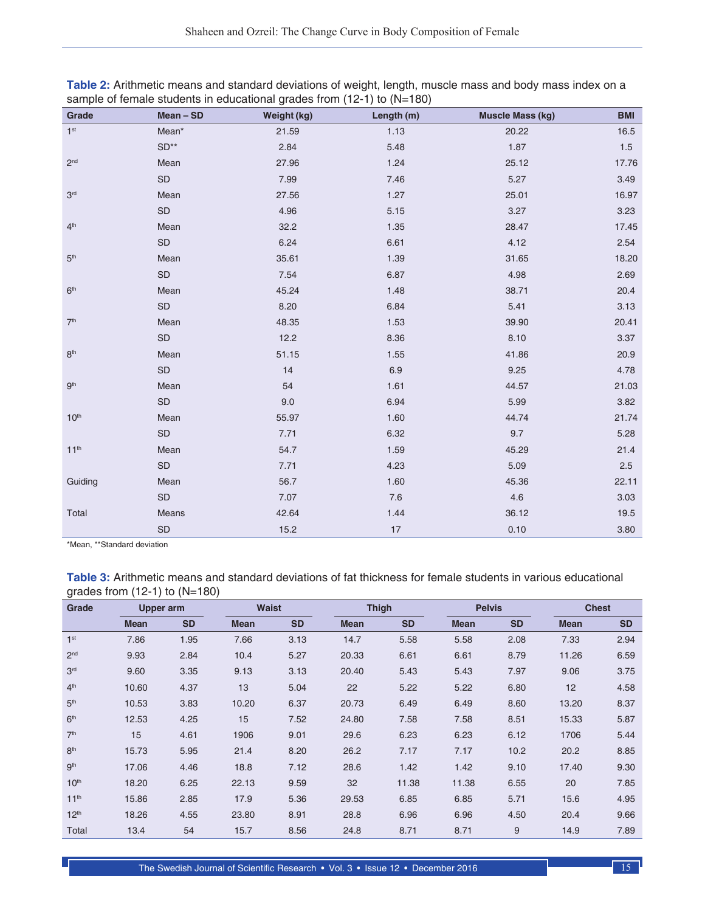| Grade            | Mean - SD     | Weight (kg) | Length (m) | <b>Muscle Mass (kg)</b> | <b>BMI</b> |
|------------------|---------------|-------------|------------|-------------------------|------------|
| $1st$            | Mean*         | 21.59       | 1.13       | 20.22                   | 16.5       |
|                  | $SD**$        | 2.84        | 5.48       | 1.87                    | $1.5$      |
| 2 <sup>nd</sup>  | Mean          | 27.96       | 1.24       | 25.12                   | 17.76      |
|                  | $\mathsf{SD}$ | 7.99        | 7.46       | 5.27                    | 3.49       |
| 3 <sup>rd</sup>  | Mean          | 27.56       | 1.27       | 25.01                   | 16.97      |
|                  | $\mathsf{SD}$ | 4.96        | 5.15       | 3.27                    | 3.23       |
| 4 <sup>th</sup>  | Mean          | 32.2        | 1.35       | 28.47                   | 17.45      |
|                  | $\mathsf{SD}$ | 6.24        | 6.61       | 4.12                    | 2.54       |
| 5 <sup>th</sup>  | Mean          | 35.61       | 1.39       | 31.65                   | 18.20      |
|                  | SD            | 7.54        | 6.87       | 4.98                    | 2.69       |
| 6 <sup>th</sup>  | Mean          | 45.24       | 1.48       | 38.71                   | 20.4       |
|                  | SD            | 8.20        | 6.84       | 5.41                    | 3.13       |
| 7 <sup>th</sup>  | Mean          | 48.35       | 1.53       | 39.90                   | 20.41      |
|                  | $\mathsf{SD}$ | 12.2        | 8.36       | 8.10                    | 3.37       |
| 8 <sup>th</sup>  | Mean          | 51.15       | 1.55       | 41.86                   | 20.9       |
|                  | $\mathsf{SD}$ | 14          | 6.9        | 9.25                    | 4.78       |
| 9 <sup>th</sup>  | Mean          | 54          | 1.61       | 44.57                   | 21.03      |
|                  | SD            | 9.0         | 6.94       | 5.99                    | 3.82       |
| 10 <sup>th</sup> | Mean          | 55.97       | 1.60       | 44.74                   | 21.74      |
|                  | SD            | 7.71        | 6.32       | 9.7                     | 5.28       |
| 11 <sup>th</sup> | Mean          | 54.7        | 1.59       | 45.29                   | 21.4       |
|                  | $\mathsf{SD}$ | 7.71        | 4.23       | 5.09                    | $2.5\,$    |
| Guiding          | Mean          | 56.7        | 1.60       | 45.36                   | 22.11      |
|                  | $\mathsf{SD}$ | 7.07        | 7.6        | 4.6                     | 3.03       |
| Total            | Means         | 42.64       | 1.44       | 36.12                   | 19.5       |
|                  | SD            | 15.2        | 17         | 0.10                    | 3.80       |

| Table 2: Arithmetic means and standard deviations of weight, length, muscle mass and body mass index on a |  |  |  |  |  |
|-----------------------------------------------------------------------------------------------------------|--|--|--|--|--|
| sample of female students in educational grades from $(12-1)$ to $(N=180)$                                |  |  |  |  |  |

\*Mean, \*\*Standard deviation

**Table 3:** Arithmetic means and standard deviations of fat thickness for female students in various educational grades from (12‑1) to (N=180)

| Grade            | Upper arm   |           | Waist       |           | <b>Thigh</b> |           | <b>Pelvis</b> |           | <b>Chest</b>    |           |
|------------------|-------------|-----------|-------------|-----------|--------------|-----------|---------------|-----------|-----------------|-----------|
|                  | <b>Mean</b> | <b>SD</b> | <b>Mean</b> | <b>SD</b> | <b>Mean</b>  | <b>SD</b> | <b>Mean</b>   | <b>SD</b> | <b>Mean</b>     | <b>SD</b> |
| 1 <sup>st</sup>  | 7.86        | 1.95      | 7.66        | 3.13      | 14.7         | 5.58      | 5.58          | 2.08      | 7.33            | 2.94      |
| 2 <sub>nd</sub>  | 9.93        | 2.84      | 10.4        | 5.27      | 20.33        | 6.61      | 6.61          | 8.79      | 11.26           | 6.59      |
| 3 <sup>rd</sup>  | 9.60        | 3.35      | 9.13        | 3.13      | 20.40        | 5.43      | 5.43          | 7.97      | 9.06            | 3.75      |
| 4 <sup>th</sup>  | 10.60       | 4.37      | 13          | 5.04      | 22           | 5.22      | 5.22          | 6.80      | 12 <sup>2</sup> | 4.58      |
| 5 <sup>th</sup>  | 10.53       | 3.83      | 10.20       | 6.37      | 20.73        | 6.49      | 6.49          | 8.60      | 13.20           | 8.37      |
| 6 <sup>th</sup>  | 12.53       | 4.25      | 15          | 7.52      | 24.80        | 7.58      | 7.58          | 8.51      | 15.33           | 5.87      |
| 7 <sup>th</sup>  | 15          | 4.61      | 1906        | 9.01      | 29.6         | 6.23      | 6.23          | 6.12      | 1706            | 5.44      |
| 8 <sup>th</sup>  | 15.73       | 5.95      | 21.4        | 8.20      | 26.2         | 7.17      | 7.17          | 10.2      | 20.2            | 8.85      |
| gth              | 17.06       | 4.46      | 18.8        | 7.12      | 28.6         | 1.42      | 1.42          | 9.10      | 17.40           | 9.30      |
| 10 <sup>th</sup> | 18.20       | 6.25      | 22.13       | 9.59      | 32           | 11.38     | 11.38         | 6.55      | 20              | 7.85      |
| 11 <sup>th</sup> | 15.86       | 2.85      | 17.9        | 5.36      | 29.53        | 6.85      | 6.85          | 5.71      | 15.6            | 4.95      |
| 12 <sup>th</sup> | 18.26       | 4.55      | 23.80       | 8.91      | 28.8         | 6.96      | 6.96          | 4.50      | 20.4            | 9.66      |
| Total            | 13.4        | 54        | 15.7        | 8.56      | 24.8         | 8.71      | 8.71          | 9         | 14.9            | 7.89      |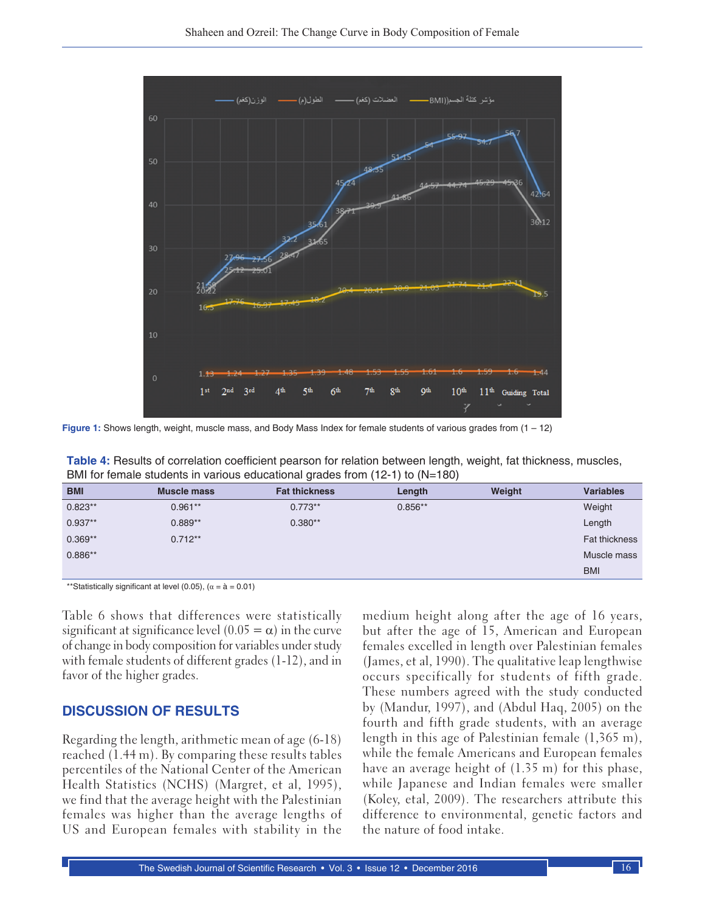

**Figure 1:** Shows length, weight, muscle mass, and Body Mass Index for female students of various grades from (1 – 12)

**Table 4:** Results of correlation coefficient pearson for relation between length, weight, fat thickness, muscles, BMI for female students in various educational grades from (12-1) to (N=180)

| <b>BMI</b> | Muscle mass | <b>Fat thickness</b> | Length    | Weight | <b>Variables</b> |
|------------|-------------|----------------------|-----------|--------|------------------|
| $0.823**$  | $0.961**$   | $0.773**$            | $0.856**$ |        | Weight           |
| $0.937**$  | $0.889**$   | $0.380**$            |           |        | Length           |
| $0.369**$  | $0.712**$   |                      |           |        | Fat thickness    |
| $0.886**$  |             |                      |           |        | Muscle mass      |
|            |             |                      |           |        | <b>BMI</b>       |

\*\*Statistically significant at level (0.05), ( $\alpha = \hat{a} = 0.01$ )

Table 6 shows that differences were statistically significant at significance level  $(0.05 = \alpha)$  in the curve of change in body composition for variables under study with female students of different grades (1-12), and in favor of the higher grades.

#### **DISCUSSION OF RESULTS**

Regarding the length, arithmetic mean of age (6-18) reached (1.44 m). By comparing these results tables percentiles of the National Center of the American Health Statistics (NCHS) (Margret, et al, 1995), we find that the average height with the Palestinian females was higher than the average lengths of US and European females with stability in the medium height along after the age of 16 years, but after the age of 15, American and European females excelled in length over Palestinian females (James, et al, 1990). The qualitative leap lengthwise occurs specifically for students of fifth grade. These numbers agreed with the study conducted by (Mandur, 1997), and (Abdul Haq, 2005) on the fourth and fifth grade students, with an average length in this age of Palestinian female (1,365 m), while the female Americans and European females have an average height of (1.35 m) for this phase, while Japanese and Indian females were smaller (Koley, etal, 2009). The researchers attribute this difference to environmental, genetic factors and the nature of food intake.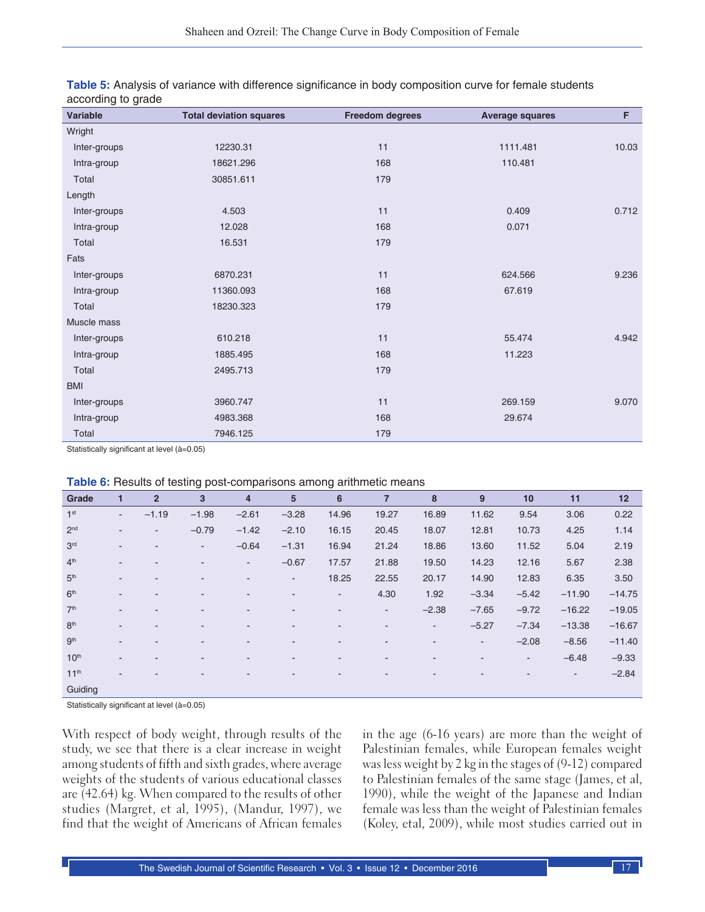| <b>Variable</b> | <b>Total deviation squares</b> | <b>Freedom degrees</b> | <b>Average squares</b> | F     |
|-----------------|--------------------------------|------------------------|------------------------|-------|
| Wright          |                                |                        |                        |       |
| Inter-groups    | 12230.31                       | 11                     | 1111.481               | 10.03 |
| Intra-group     | 18621.296                      | 168                    | 110.481                |       |
| Total           | 30851.611                      | 179                    |                        |       |
| Length          |                                |                        |                        |       |
| Inter-groups    | 4.503                          | 11                     | 0.409                  | 0.712 |
| Intra-group     | 12.028                         | 168                    | 0.071                  |       |
| Total           | 16.531                         | 179                    |                        |       |
| Fats            |                                |                        |                        |       |
| Inter-groups    | 6870.231                       | 11                     | 624.566                | 9.236 |
| Intra-group     | 11360.093                      | 168                    | 67.619                 |       |
| Total           | 18230.323                      | 179                    |                        |       |
| Muscle mass     |                                |                        |                        |       |
| Inter-groups    | 610.218                        | 11                     | 55.474                 | 4.942 |
| Intra-group     | 1885.495                       | 168                    | 11.223                 |       |
| Total           | 2495.713                       | 179                    |                        |       |
| <b>BMI</b>      |                                |                        |                        |       |
| Inter-groups    | 3960.747                       | 11                     | 269.159                | 9.070 |
| Intra-group     | 4983.368                       | 168                    | 29.674                 |       |
| Total           | 7946.125                       | 179                    |                        |       |

| Table 5: Analysis of variance with difference significance in body composition curve for female students |  |  |
|----------------------------------------------------------------------------------------------------------|--|--|
| according to grade                                                                                       |  |  |

Statistically significant at level (à=0.05)

| Grade            | 1              | $\overline{2}$           | 3                        | $\overline{\mathbf{4}}$  | 5                        | 6      | 7                        | 8                        | 9                        | 10                       | 11                       | 12       |
|------------------|----------------|--------------------------|--------------------------|--------------------------|--------------------------|--------|--------------------------|--------------------------|--------------------------|--------------------------|--------------------------|----------|
| 1 <sup>st</sup>  | $\blacksquare$ | $-1.19$                  | $-1.98$                  | $-2.61$                  | $-3.28$                  | 14.96  | 19.27                    | 16.89                    | 11.62                    | 9.54                     | 3.06                     | 0.22     |
| 2 <sub>nd</sub>  | $\blacksquare$ | $\overline{\phantom{a}}$ | $-0.79$                  | $-1.42$                  | $-2.10$                  | 16.15  | 20.45                    | 18.07                    | 12.81                    | 10.73                    | 4.25                     | 1.14     |
| 3 <sup>rd</sup>  | $\blacksquare$ | $\overline{\phantom{a}}$ | ٠                        | $-0.64$                  | $-1.31$                  | 16.94  | 21.24                    | 18.86                    | 13.60                    | 11.52                    | 5.04                     | 2.19     |
| 4 <sup>th</sup>  | $\blacksquare$ |                          | $\blacksquare$           | $\overline{\phantom{a}}$ | $-0.67$                  | 17.57  | 21.88                    | 19.50                    | 14.23                    | 12.16                    | 5.67                     | 2.38     |
| 5 <sup>th</sup>  | $\blacksquare$ | $\overline{\phantom{a}}$ | $\overline{\phantom{a}}$ | ۰                        | $\sim$                   | 18.25  | 22.55                    | 20.17                    | 14.90                    | 12.83                    | 6.35                     | 3.50     |
| 6 <sup>th</sup>  | $\sim$         |                          |                          | ۰                        | ۰                        | $\sim$ | 4.30                     | 1.92                     | $-3.34$                  | $-5.42$                  | $-11.90$                 | $-14.75$ |
| 7 <sup>th</sup>  | $\sim$         |                          |                          |                          |                          |        | ۰.                       | $-2.38$                  | $-7.65$                  | $-9.72$                  | $-16.22$                 | $-19.05$ |
| 8 <sup>th</sup>  | $\blacksquare$ |                          | $\overline{\phantom{a}}$ | ۰                        |                          |        | $\overline{\phantom{0}}$ | $\overline{\phantom{a}}$ | $-5.27$                  | $-7.34$                  | $-13.38$                 | $-16.67$ |
| gth              | $\sim$         |                          | $\overline{\phantom{a}}$ | ۰                        | $\overline{\phantom{a}}$ | ٠      | -                        | $\overline{\phantom{a}}$ | $\sim$                   | $-2.08$                  | $-8.56$                  | $-11.40$ |
| 10 <sup>th</sup> | $\sim$         | $\overline{\phantom{a}}$ | $\overline{\phantom{a}}$ | ٠                        | $\overline{\phantom{a}}$ | ٠      | ٠                        | $\overline{\phantom{a}}$ | $\overline{\phantom{a}}$ | $\overline{\phantom{a}}$ | $-6.48$                  | $-9.33$  |
| 11 <sup>th</sup> | ۰.             |                          |                          |                          |                          |        |                          |                          |                          |                          | $\overline{\phantom{a}}$ | $-2.84$  |
| Guiding          |                |                          |                          |                          |                          |        |                          |                          |                          |                          |                          |          |

Statistically significant at level (à=0.05)

With respect of body weight, through results of the study, we see that there is a clear increase in weight among students of fifth and sixth grades, where average weights of the students of various educational classes are (42.64) kg. When compared to the results of other studies (Margret, et al, 1995), (Mandur, 1997), we find that the weight of Americans of African females in the age (6-16 years) are more than the weight of Palestinian females, while European females weight was less weight by 2 kg in the stages of (9-12) compared to Palestinian females of the same stage (James, et al, 1990), while the weight of the Japanese and Indian female was less than the weight of Palestinian females (Koley, etal, 2009), while most studies carried out in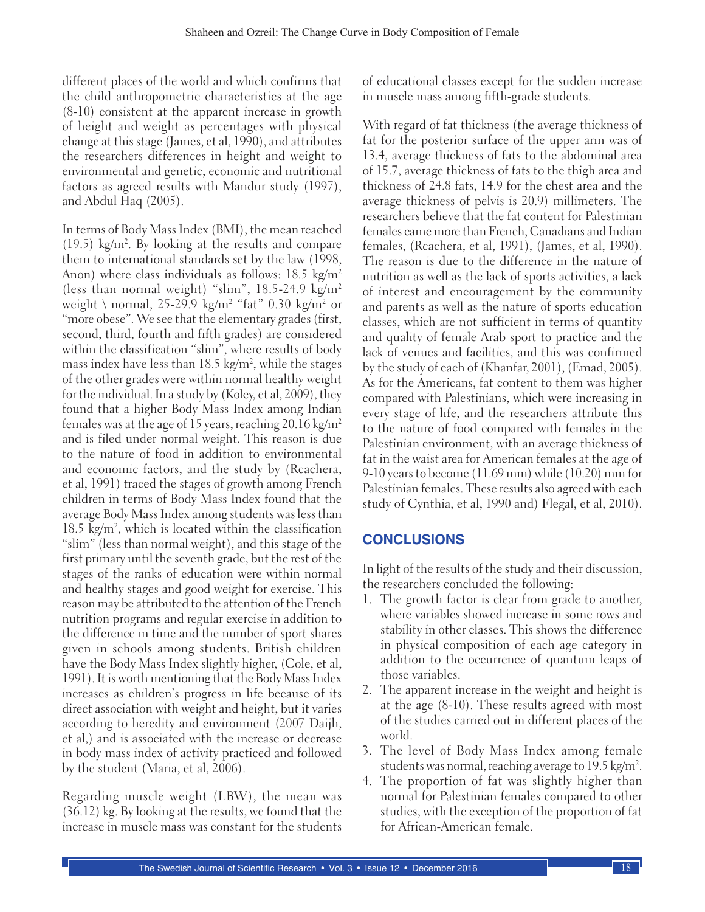different places of the world and which confirms that the child anthropometric characteristics at the age (8-10) consistent at the apparent increase in growth of height and weight as percentages with physical change at this stage (James, et al, 1990), and attributes the researchers differences in height and weight to environmental and genetic, economic and nutritional factors as agreed results with Mandur study (1997), and Abdul Haq (2005).

In terms of Body Mass Index (BMI), the mean reached  $(19.5)$  kg/m<sup>2</sup>. By looking at the results and compare them to international standards set by the law (1998, Anon) where class individuals as follows:  $18.5 \text{ kg/m}^2$ (less than normal weight) "slim",  $18.5-24.9 \text{ kg/m}^2$ weight \ normal, 25-29.9 kg/m2 "fat" 0.30 kg/m2 or "more obese". We see that the elementary grades (first, second, third, fourth and fifth grades) are considered within the classification "slim", where results of body mass index have less than 18.5 kg/m², while the stages of the other grades were within normal healthy weight for the individual. In a study by (Koley, et al, 2009), they found that a higher Body Mass Index among Indian females was at the age of 15 years, reaching 20.16 kg/m<sup>2</sup> and is filed under normal weight. This reason is due to the nature of food in addition to environmental and economic factors, and the study by (Rcachera, et al, 1991) traced the stages of growth among French children in terms of Body Mass Index found that the average Body Mass Index among students was less than 18.5 kg/m2 , which is located within the classification "slim" (less than normal weight), and this stage of the first primary until the seventh grade, but the rest of the stages of the ranks of education were within normal and healthy stages and good weight for exercise. This reason may be attributed to the attention of the French nutrition programs and regular exercise in addition to the difference in time and the number of sport shares given in schools among students. British children have the Body Mass Index slightly higher, (Cole, et al, 1991). It is worth mentioning that the Body Mass Index increases as children's progress in life because of its direct association with weight and height, but it varies according to heredity and environment (2007 Daijh, et al,) and is associated with the increase or decrease in body mass index of activity practiced and followed by the student (Maria, et al, 2006).

Regarding muscle weight (LBW), the mean was (36.12) kg. By looking at the results, we found that the increase in muscle mass was constant for the students of educational classes except for the sudden increase in muscle mass among fifth-grade students.

With regard of fat thickness (the average thickness of fat for the posterior surface of the upper arm was of 13.4, average thickness of fats to the abdominal area of 15.7, average thickness of fats to the thigh area and thickness of 24.8 fats, 14.9 for the chest area and the average thickness of pelvis is 20.9) millimeters. The researchers believe that the fat content for Palestinian females came more than French, Canadians and Indian females, (Rcachera, et al, 1991), (James, et al, 1990). The reason is due to the difference in the nature of nutrition as well as the lack of sports activities, a lack of interest and encouragement by the community and parents as well as the nature of sports education classes, which are not sufficient in terms of quantity and quality of female Arab sport to practice and the lack of venues and facilities, and this was confirmed by the study of each of (Khanfar, 2001), (Emad, 2005). As for the Americans, fat content to them was higher compared with Palestinians, which were increasing in every stage of life, and the researchers attribute this to the nature of food compared with females in the Palestinian environment, with an average thickness of fat in the waist area for American females at the age of 9-10 years to become (11.69 mm) while (10.20) mm for Palestinian females. These results also agreed with each study of Cynthia, et al, 1990 and) Flegal, et al, 2010).

# **CONCLUSIONS**

In light of the results of the study and their discussion, the researchers concluded the following:

- 1. The growth factor is clear from grade to another, where variables showed increase in some rows and stability in other classes. This shows the difference in physical composition of each age category in addition to the occurrence of quantum leaps of those variables.
- 2. The apparent increase in the weight and height is at the age (8-10). These results agreed with most of the studies carried out in different places of the world.
- 3. The level of Body Mass Index among female students was normal, reaching average to 19.5 kg/m².
- 4. The proportion of fat was slightly higher than normal for Palestinian females compared to other studies, with the exception of the proportion of fat for African-American female.